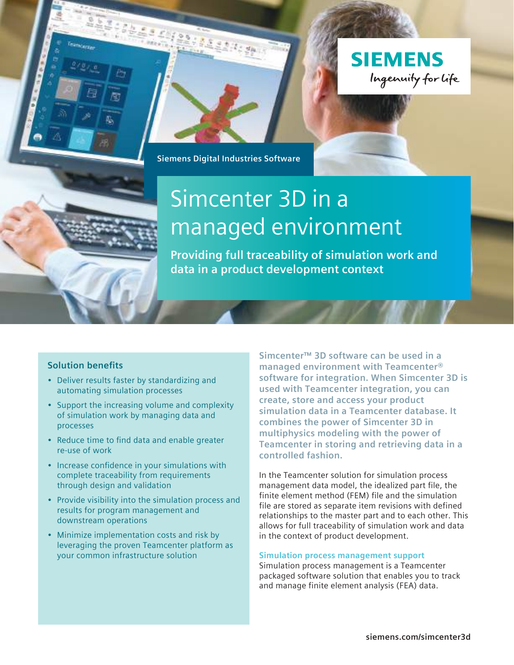



**Siemens Digital Industries Software**

# Simcenter 3D in a managed environment

**Providing full traceability of simulation work and data in a product development context**

# **Solution benefits**

- Deliver results faster by standardizing and automating simulation processes
- Support the increasing volume and complexity of simulation work by managing data and processes
- Reduce time to find data and enable greater re-use of work
- Increase confidence in your simulations with complete traceability from requirements through design and validation
- Provide visibility into the simulation process and results for program management and downstream operations
- Minimize implementation costs and risk by leveraging the proven Teamcenter platform as your common infrastructure solution

**Simcenter™ 3D software can be used in a managed environment with Teamcenter® software for integration. When Simcenter 3D is used with Teamcenter integration, you can create, store and access your product simulation data in a Teamcenter database. It combines the power of Simcenter 3D in multiphysics modeling with the power of Teamcenter in storing and retrieving data in a controlled fashion.**

In the Teamcenter solution for simulation process management data model, the idealized part file, the finite element method (FEM) file and the simulation file are stored as separate item revisions with defined relationships to the master part and to each other. This allows for full traceability of simulation work and data in the context of product development.

#### **Simulation process management support**

Simulation process management is a Teamcenter packaged software solution that enables you to track and manage finite element analysis (FEA) data.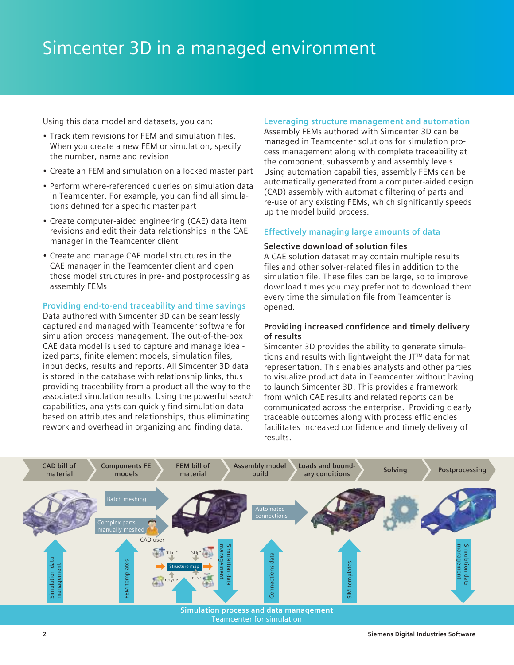Using this data model and datasets, you can:

- Track item revisions for FEM and simulation files. When you create a new FEM or simulation, specify the number, name and revision
- Create an FEM and simulation on a locked master part
- Perform where-referenced queries on simulation data in Teamcenter. For example, you can find all simulations defined for a specific master part
- Create computer-aided engineering (CAE) data item revisions and edit their data relationships in the CAE manager in the Teamcenter client
- Create and manage CAE model structures in the CAE manager in the Teamcenter client and open those model structures in pre- and postprocessing as assembly FEMs

#### **Providing end-to-end traceability and time savings**

Data authored with Simcenter 3D can be seamlessly captured and managed with Teamcenter software for simulation process management. The out-of-the-box CAE data model is used to capture and manage idealized parts, finite element models, simulation files, input decks, results and reports. All Simcenter 3D data is stored in the database with relationship links, thus providing traceability from a product all the way to the associated simulation results. Using the powerful search capabilities, analysts can quickly find simulation data based on attributes and relationships, thus eliminating rework and overhead in organizing and finding data.

# **Leveraging structure management and automation**

Assembly FEMs authored with Simcenter 3D can be managed in Teamcenter solutions for simulation process management along with complete traceability at the component, subassembly and assembly levels. Using automation capabilities, assembly FEMs can be automatically generated from a computer-aided design (CAD) assembly with automatic filtering of parts and re-use of any existing FEMs, which significantly speeds up the model build process.

### **Effectively managing large amounts of data**

#### **Selective download of solution files**

A CAE solution dataset may contain multiple results files and other solver-related files in addition to the simulation file. These files can be large, so to improve download times you may prefer not to download them every time the simulation file from Teamcenter is opened.

### **Providing increased confidence and timely delivery of results**

Simcenter 3D provides the ability to generate simulations and results with lightweight the JT™ data format representation. This enables analysts and other parties to visualize product data in Teamcenter without having to launch Simcenter 3D. This provides a framework from which CAE results and related reports can be communicated across the enterprise. Providing clearly traceable outcomes along with process efficiencies facilitates increased confidence and timely delivery of results.

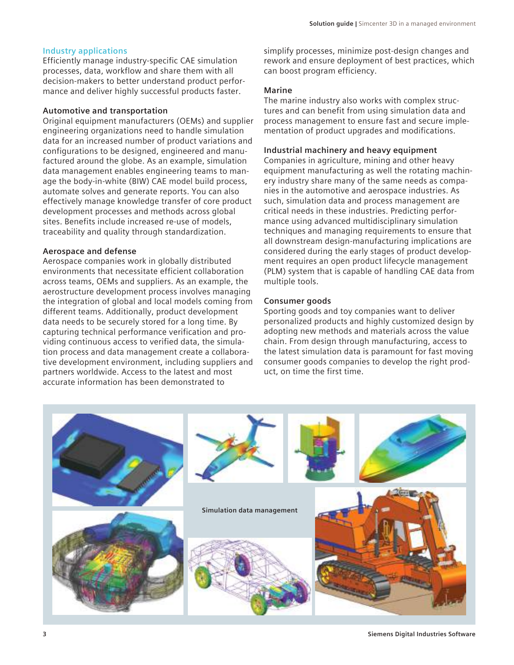## **Industry applications**

Efficiently manage industry-specific CAE simulation processes, data, workflow and share them with all decision-makers to better understand product performance and deliver highly successful products faster.

#### **Automotive and transportation**

Original equipment manufacturers (OEMs) and supplier engineering organizations need to handle simulation data for an increased number of product variations and configurations to be designed, engineered and manufactured around the globe. As an example, simulation data management enables engineering teams to manage the body-in-white (BIW) CAE model build process, automate solves and generate reports. You can also effectively manage knowledge transfer of core product development processes and methods across global sites. Benefits include increased re-use of models, traceability and quality through standardization.

#### **Aerospace and defense**

Aerospace companies work in globally distributed environments that necessitate efficient collaboration across teams, OEMs and suppliers. As an example, the aerostructure development process involves managing the integration of global and local models coming from different teams. Additionally, product development data needs to be securely stored for a long time. By capturing technical performance verification and providing continuous access to verified data, the simulation process and data management create a collaborative development environment, including suppliers and partners worldwide. Access to the latest and most accurate information has been demonstrated to

simplify processes, minimize post-design changes and rework and ensure deployment of best practices, which can boost program efficiency.

#### **Marine**

The marine industry also works with complex structures and can benefit from using simulation data and process management to ensure fast and secure implementation of product upgrades and modifications.

#### **Industrial machinery and heavy equipment**

Companies in agriculture, mining and other heavy equipment manufacturing as well the rotating machinery industry share many of the same needs as companies in the automotive and aerospace industries. As such, simulation data and process management are critical needs in these industries. Predicting performance using advanced multidisciplinary simulation techniques and managing requirements to ensure that all downstream design-manufacturing implications are considered during the early stages of product development requires an open product lifecycle management (PLM) system that is capable of handling CAE data from multiple tools.

#### **Consumer goods**

Sporting goods and toy companies want to deliver personalized products and highly customized design by adopting new methods and materials across the value chain. From design through manufacturing, access to the latest simulation data is paramount for fast moving consumer goods companies to develop the right product, on time the first time.

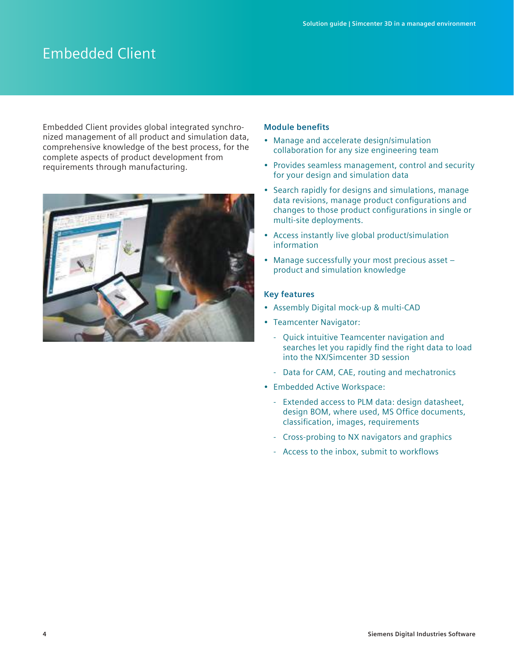# Embedded Client

Embedded Client provides global integrated synchronized management of all product and simulation data, comprehensive knowledge of the best process, for the complete aspects of product development from requirements through manufacturing.



#### **Module benefits**

- Manage and accelerate design/simulation collaboration for any size engineering team
- Provides seamless management, control and security for your design and simulation data
- Search rapidly for designs and simulations, manage data revisions, manage product configurations and changes to those product configurations in single or multi-site deployments.
- Access instantly live global product/simulation information
- Manage successfully your most precious asset product and simulation knowledge

### **Key features**

- Assembly Digital mock-up & multi-CAD
- Teamcenter Navigator:
	- Quick intuitive Teamcenter navigation and searches let you rapidly find the right data to load into the NX/Simcenter 3D session
	- Data for CAM, CAE, routing and mechatronics
- Embedded Active Workspace:
	- Extended access to PLM data: design datasheet, design BOM, where used, MS Office documents, classification, images, requirements
	- Cross-probing to NX navigators and graphics
	- Access to the inbox, submit to workflows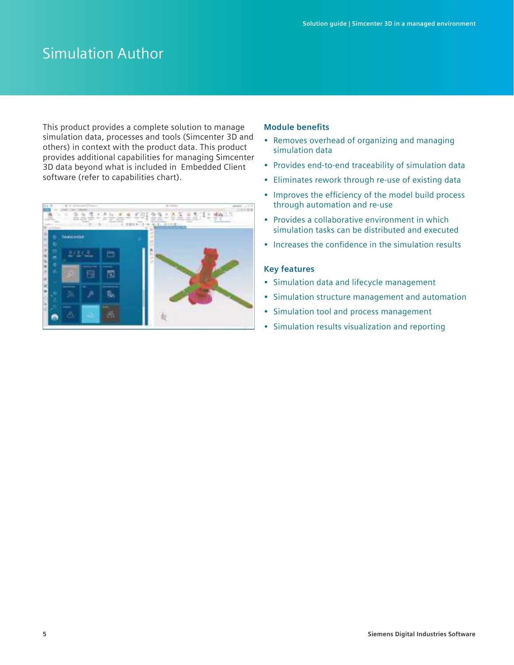# Simulation Author

This product provides a complete solution to manage simulation data, processes and tools (Simcenter 3D and others) in context with the product data. This product provides additional capabilities for managing Simcenter 3D data beyond what is included in Embedded Client software (refer to capabilities chart).



#### **Module benefits**

- Removes overhead of organizing and managing simulation data
- Provides end-to-end traceability of simulation data
- Eliminates rework through re-use of existing data
- Improves the efficiency of the model build process through automation and re-use
- Provides a collaborative environment in which simulation tasks can be distributed and executed
- Increases the confidence in the simulation results

#### **Key features**

- Simulation data and lifecycle management
- Simulation structure management and automation
- Simulation tool and process management
- Simulation results visualization and reporting